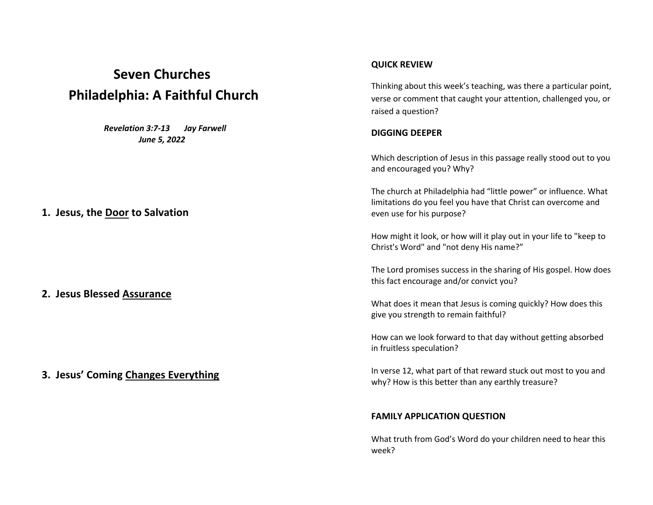# **Seven Churches Philadelphia: A Faithful Church**

 *Revelation 3:7-13 Jay Farwell June 5, 2022*

### **1. Jesus, the Door to Salvation**

**2. Jesus Blessed Assurance**

**3. Jesus' Coming Changes Everything**

#### **QUICK REVIEW**

Thinking about this week's teaching, was there a particular point, verse or comment that caught your attention, challenged you, or raised a question?

#### **DIGGING DEEPER**

Which description of Jesus in this passage really stood out to you and encouraged you? Why?

The church at Philadelphia had "little power" or influence. What limitations do you feel you have that Christ can overcome and even use for his purpose?

How might it look, or how will it play out in your life to "keep to Christ's Word" and "not deny His name?"

The Lord promises success in the sharing of His gospel. How does this fact encourage and/or convict you?

What does it mean that Jesus is coming quickly? How does this give you strength to remain faithful?

How can we look forward to that day without getting absorbed in fruitless speculation?

In verse 12, what part of that reward stuck out most to you and why? How is this better than any earthly treasure?

#### **FAMILY APPLICATION QUESTION**

What truth from God's Word do your children need to hear this week?